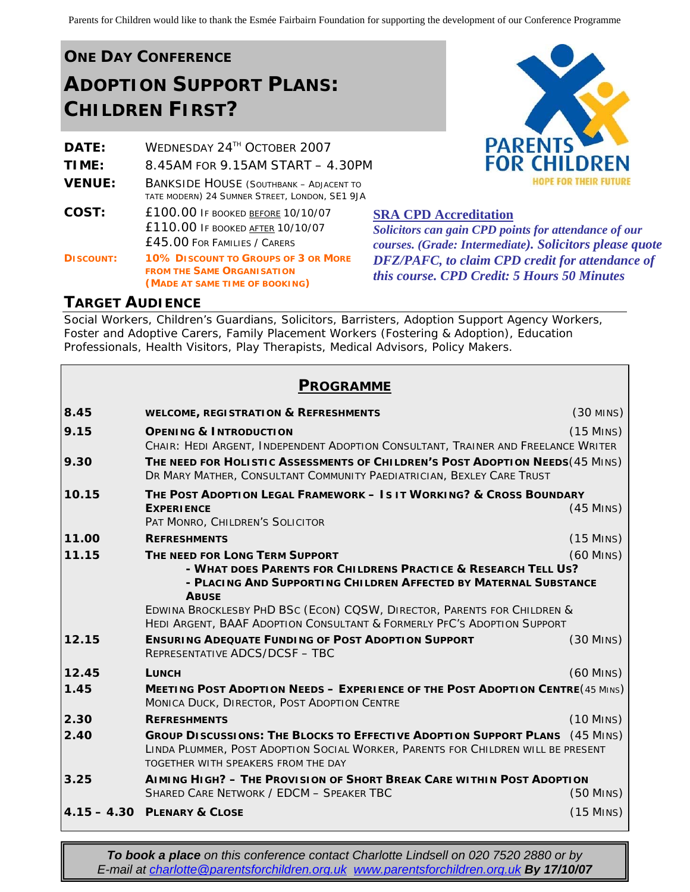# **ONE DAY CONFERENCE ADOPTION SUPPORT PLANS: CHILDREN FIRST?**

| <b>DATE:</b>     | WEDNESDAY 24TH OCTOBER 2007                                                                                         |  |
|------------------|---------------------------------------------------------------------------------------------------------------------|--|
| TIME:            | 8.45AM FOR 9.15AM START - 4.30PM                                                                                    |  |
| <b>VENUE:</b>    | <b>BANKSIDE HOUSE (SOUTHBANK - ADJACENT TO</b><br>TATE MODERN) 24 SUMNER STREET, LONDON, SE1 9JA                    |  |
| COST:            | <b>£100.00 IF BOOKED BEFORE 10/10/07</b><br><b>£110.00 IF BOOKED AFTER 10/10/07</b><br>£45.00 FOR FAMILIES / CARERS |  |
| <b>DISCOUNT:</b> | <b>10% DISCOUNT TO GROUPS OF 3 OR MORE</b><br><b>FROM THE SAME ORGANISATION</b><br>(MADE AT SAME TIME OF BOOKING)   |  |



**SRA CPD Accreditation**

*Solicitors can gain CPD points for attendance of our courses. (Grade: Intermediate). Solicitors please quote DFZ/PAFC, to claim CPD credit for attendance of this course. CPD Credit: 5 Hours 50 Minutes* 

#### **TARGET AUDIENCE**

Social Workers, Children's Guardians, Solicitors, Barristers, Adoption Support Agency Workers, Foster and Adoptive Carers, Family Placement Workers (Fostering & Adoption), Education Professionals, Health Visitors, Play Therapists, Medical Advisors, Policy Makers.

#### **PROGRAMME**

| 8.45  | <b>WELCOME, REGISTRATION &amp; REFRESHMENTS</b>                                                                                                                                                               | $(30$ MINS)                |  |
|-------|---------------------------------------------------------------------------------------------------------------------------------------------------------------------------------------------------------------|----------------------------|--|
| 9.15  | <b>OPENING &amp; INTRODUCTION</b><br>CHAIR: HEDI ARGENT, INDEPENDENT ADOPTION CONSULTANT, TRAINER AND FREELANCE WRITER                                                                                        | $(15$ MINS)                |  |
| 9.30  | THE NEED FOR HOLISTIC ASSESSMENTS OF CHILDREN'S POST ADOPTION NEEDS (45 MINS)<br>DR MARY MATHER, CONSULTANT COMMUNITY PAEDIATRICIAN, BEXLEY CARE TRUST                                                        |                            |  |
| 10.15 | THE POST ADOPTION LEGAL FRAMEWORK - IS IT WORKING? & CROSS BOUNDARY<br><b>EXPERIENCE</b><br>PAT MONRO, CHILDREN'S SOLICITOR                                                                                   | $(45$ MINS)                |  |
| 11.00 | <b>REFRESHMENTS</b>                                                                                                                                                                                           | $(15$ MINS)                |  |
| 11.15 | $(60$ MINS)<br>THE NEED FOR LONG TERM SUPPORT<br>- WHAT DOES PARENTS FOR CHILDRENS PRACTICE & RESEARCH TELL US?<br>- PLACING AND SUPPORTING CHILDREN AFFECTED BY MATERNAL SUBSTANCE<br><b>ABUSE</b>           |                            |  |
|       | <b>EDWINA BROCKLESBY PHD BSC (ECON) COSW, DIRECTOR, PARENTS FOR CHILDREN &amp;</b><br><b>HEDI ARGENT, BAAF ADOPTION CONSULTANT &amp; FORMERLY PFC'S ADOPTION SUPPORT</b>                                      |                            |  |
| 12.15 | <b>ENSURING ADEQUATE FUNDING OF POST ADOPTION SUPPORT</b><br>REPRESENTATIVE ADCS/DCSF - TBC                                                                                                                   | $(30$ M <sub>INS</sub> $)$ |  |
| 12.45 | <b>LUNCH</b>                                                                                                                                                                                                  | $(60$ MINS)                |  |
| 1.45  | <b>MEETING POST ADOPTION NEEDS - EXPERIENCE OF THE POST ADOPTION CENTRE (45 MINS)</b><br>MONICA DUCK, DIRECTOR, POST ADOPTION CENTRE                                                                          |                            |  |
| 2.30  | <b>REFRESHMENTS</b>                                                                                                                                                                                           | $(10$ MINS)                |  |
| 2.40  | <b>GROUP DISCUSSIONS: THE BLOCKS TO EFFECTIVE ADOPTION SUPPORT PLANS</b> (45 MINS)<br>LINDA PLUMMER, POST ADOPTION SOCIAL WORKER, PARENTS FOR CHILDREN WILL BE PRESENT<br>TOGETHER WITH SPEAKERS FROM THE DAY |                            |  |
| 3.25  | AIMING HIGH? - THE PROVISION OF SHORT BREAK CARE WITHIN POST ADOPTION<br>SHARED CARE NETWORK / EDCM - SPEAKER TBC                                                                                             | $(50$ M <sub>INS</sub> $)$ |  |
|       | 4.15 - 4.30 PLENARY & CLOSE                                                                                                                                                                                   | $(15$ MINS)                |  |

*To book a place on this conference contact Charlotte Lindsell on 020 7520 2880 or by E-mail at [charlotte@parentsforchildren.org.uk](mailto:charlotte@parentsforchildren.org.uk) [www.parentsforchildren.org.uk](http://www.parentsforchildren.org.uk/) By 17/10/07*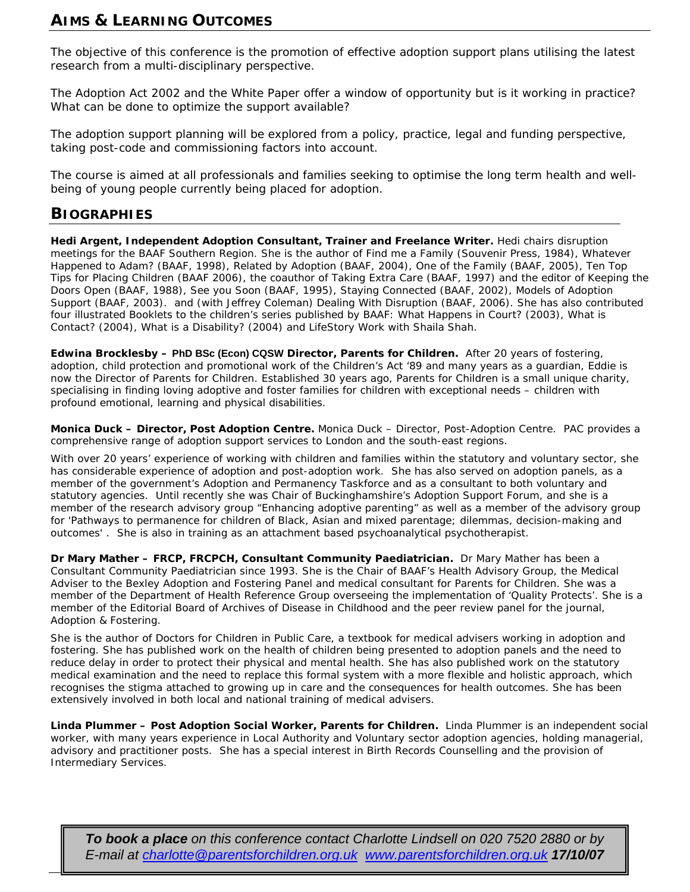#### **AIMS & LEARNING OUTCOMES**

The objective of this conference is the promotion of effective adoption support plans utilising the latest research from a multi-disciplinary perspective.

The Adoption Act 2002 and the White Paper offer a window of opportunity but is it working in practice? What can be done to optimize the support available?

The adoption support planning will be explored from a policy, practice, legal and funding perspective, taking post-code and commissioning factors into account.

The course is aimed at all professionals and families seeking to optimise the long term health and wellbeing of young people currently being placed for adoption.

#### **BIOGRAPHIES**

**Hedi Argent, Independent Adoption Consultant, Trainer and Freelance Writer.** Hedi chairs disruption meetings for the BAAF Southern Region. She is the author of *Find me a Family* (Souvenir Press, 1984), *Whatever Happened to Adam?* (BAAF, 1998), *Related by Adoption* (BAAF, 2004), *One of the Family* (BAAF, 2005), *Ten Top Tips for Placing Children* (BAAF 2006), the coauthor of *Taking Extra Care* (BAAF, 1997) and the editor of *Keeping the Doors Open* (BAAF, 1988), *See you Soon* (BAAF, 1995), *Staying Connected* (BAAF, 2002), *Models of Adoption Support* (BAAF, 2003). and (with Jeffrey Coleman) *Dealing With Disruption* (BAAF, 2006). She has also contributed four illustrated Booklets to the children's series published by BAAF: *What Happens in Court?* (2003), *What is Contact?* (2004), *What is a Disability?* (2004) and *LifeStory Work* with Shaila Shah.

**Edwina Brocklesby – PhD BSc (Econ) CQSW Director, Parents for Children.** After 20 years of fostering, adoption, child protection and promotional work of the Children's Act '89 and many years as a guardian, Eddie is now the Director of Parents for Children. Established 30 years ago, Parents for Children is a small unique charity, specialising in finding loving adoptive and foster families for children with exceptional needs – children with profound emotional, learning and physical disabilities.

**Monica Duck – Director, Post Adoption Centre.** Monica Duck – Director, Post-Adoption Centre. PAC provides a comprehensive range of adoption support services to London and the south-east regions.

With over 20 years' experience of working with children and families within the statutory and voluntary sector, she has considerable experience of adoption and post-adoption work. She has also served on adoption panels, as a member of the government's Adoption and Permanency Taskforce and as a consultant to both voluntary and statutory agencies. Until recently she was Chair of Buckinghamshire's Adoption Support Forum, and she is a member of the research advisory group "Enhancing adoptive parenting" as well as a member of the advisory group for 'Pathways to permanence for children of Black, Asian and mixed parentage; dilemmas, decision-making and outcomes' . She is also in training as an attachment based psychoanalytical psychotherapist.

**Dr Mary Mather – FRCP, FRCPCH, Consultant Community Paediatrician.** Dr Mary Mather has been a Consultant Community Paediatrician since 1993. She is the Chair of BAAF's Health Advisory Group, the Medical Adviser to the Bexley Adoption and Fostering Panel and medical consultant for Parents for Children. She was a member of the Department of Health Reference Group overseeing the implementation of 'Quality Protects'. She is a member of the Editorial Board of *Archives of Disease in Childhood* and the peer review panel for the journal, *Adoption & Fostering.* 

She is the author of *Doctors for Children in Public Care,* a textbook for medical advisers working in adoption and fostering. She has published work on the health of children being presented to adoption panels and the need to reduce delay in order to protect their physical and mental health. She has also published work on the statutory medical examination and the need to replace this formal system with a more flexible and holistic approach, which recognises the stigma attached to growing up in care and the consequences for health outcomes. She has been extensively involved in both local and national training of medical advisers.

**Linda Plummer – Post Adoption Social Worker, Parents for Children.** Linda Plummer is an independent social worker, with many years experience in Local Authority and Voluntary sector adoption agencies, holding managerial, advisory and practitioner posts. She has a special interest in Birth Records Counselling and the provision of Intermediary Services.

*To book a place on this conference contact Charlotte Lindsell on 020 7520 2880 or by E-mail at [charlotte@parentsforchildren.org.uk](mailto:charlotte@parentsforchildren.org.uk) [www.parentsforchildren.org.uk](http://www.parentsforchildren.org.uk/) 17/10/07*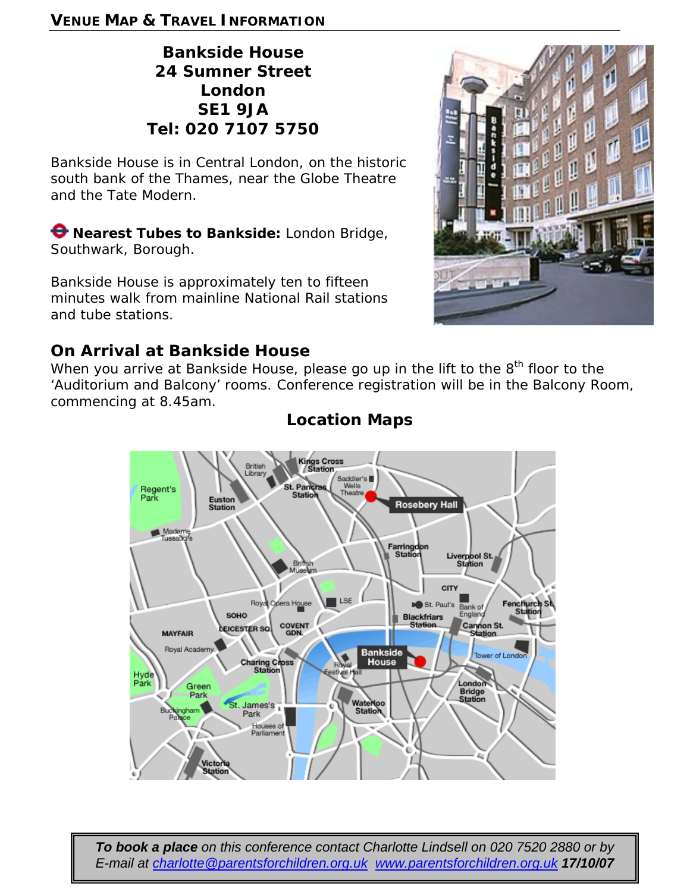### **VENUE MAP & TRAVEL INFORMATION**

# **Bankside House 24 Sumner Street London SE1 9JA Tel: 020 7107 5750**

Bankside House is in Central London, on the historic south bank of the Thames, near the Globe Theatre and the Tate Modern.

**Nearest Tubes to Bankside:** London Bridge, Southwark, Borough.

Bankside House is approximately ten to fifteen minutes walk from mainline National Rail stations and tube stations.

# **On Arrival at Bankside House**

When you arrive at Bankside House, please go up in the lift to the 8<sup>th</sup> floor to the 'Auditorium and Balcony' rooms. Conference registration will be in the Balcony Room, commencing at 8.45am.



## **Location Maps**



*To book a place on this conference contact Charlotte Lindsell on 020 7520 2880 or by E-mail at [charlotte@parentsforchildren.org.uk](mailto:charlotte@parentsforchildren.org.uk) [www.parentsforchildren.org.uk](http://www.parentsforchildren.org.uk/) 17/10/07*